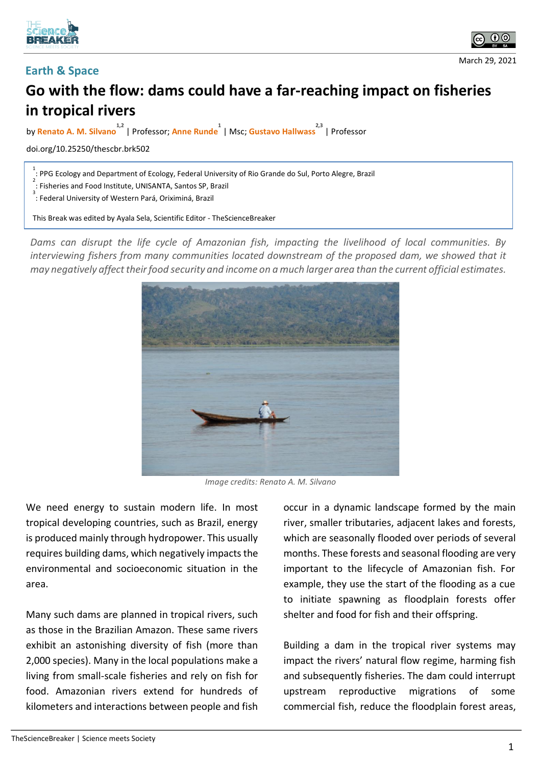





## **Go with the flow: dams could have a far-reaching impact on fisheries in tropical rivers**

by **Renato A. M. Silvano 1,2** | Professor; **Anne Runde 1** | Msc; **Gustavo Hallwass 2,3** | Professor

doi.org/10.25250/thescbr.brk502

<sup>1</sup> .<br>1 PPG Ecology and Department of Ecology, Federal University of Rio Grande do Sul, Porto Alegre, Brazil<br><sup>2</sup>

: Fisheries and Food Institute, UNISANTA, Santos SP, Brazil

<sup>3</sup> : Federal University of Western Pará, Oriximiná, Brazil

This Break was edited by Ayala Sela, Scientific Editor - TheScienceBreaker

*Dams can disrupt the life cycle of Amazonian fish, impacting the livelihood of local communities. By*  interviewing fishers from many communities located downstream of the proposed dam, we showed that it *may negatively affect their food security and income on a much larger area than the current official estimates.*



*Image credits: Renato A. M. Silvano*

We need energy to sustain modern life. In most tropical developing countries, such as Brazil, energy is produced mainly through hydropower. This usually requires building dams, which negatively impacts the environmental and socioeconomic situation in the area.

Many such dams are planned in tropical rivers, such as those in the Brazilian Amazon. These same rivers exhibit an astonishing diversity of fish (more than 2,000 species). Many in the local populations make a living from small-scale fisheries and rely on fish for food. Amazonian rivers extend for hundreds of kilometers and interactions between people and fish occur in a dynamic landscape formed by the main river, smaller tributaries, adjacent lakes and forests, which are seasonally flooded over periods of several months. These forests and seasonal flooding are very important to the lifecycle of Amazonian fish. For example, they use the start of the flooding as a cue to initiate spawning as floodplain forests offer shelter and food for fish and their offspring.

Building a dam in the tropical river systems may impact the rivers' natural flow regime, harming fish and subsequently fisheries. The dam could interrupt upstream reproductive migrations of some commercial fish, reduce the floodplain forest areas,